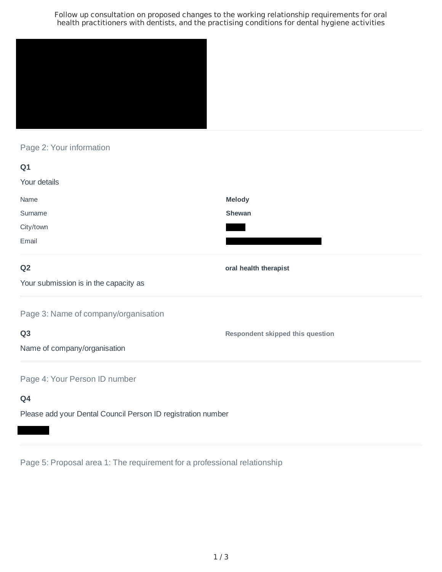Follow up consultation on proposed changes to the working relationship requirements for oral health practitioners with dentists, and the practising conditions for dental hygiene activities



# Page 2: Your information

| Q <sub>1</sub>                        |                                         |
|---------------------------------------|-----------------------------------------|
| Your details                          |                                         |
| Name                                  | <b>Melody</b>                           |
| Surname                               | Shewan                                  |
| City/town                             |                                         |
| Email                                 |                                         |
| Q <sub>2</sub>                        | oral health therapist                   |
| Your submission is in the capacity as |                                         |
| Page 3: Name of company/organisation  |                                         |
| Q <sub>3</sub>                        | <b>Respondent skipped this question</b> |
| Name of company/organisation          |                                         |
| Page 4: Your Person ID number         |                                         |
| Q4                                    |                                         |

Please add your Dental Council Person ID registration number

Page 5: Proposal area 1: The requirement for a professional relationship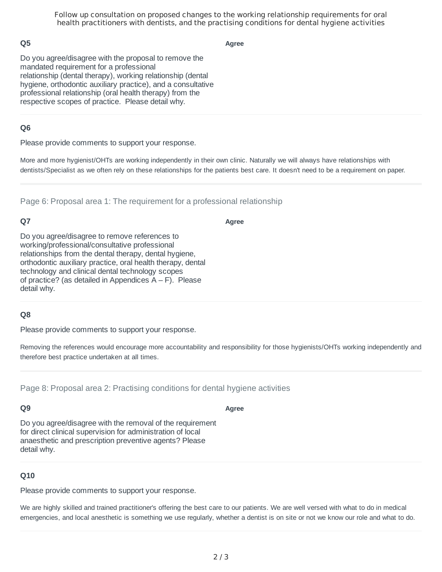Follow up consultation on proposed changes to the working relationship requirements for oral health practitioners with dentists, and the practising conditions for dental hygiene activities

## **Q5**

**Agree**

Do you agree/disagree with the proposal to remove the mandated requirement for a professional relationship (dental therapy), working relationship (dental hygiene, orthodontic auxiliary practice), and a consultative professional relationship (oral health therapy) from the respective scopes of practice. Please detail why.

## **Q6**

Please provide comments to support your response.

More and more hygienist/OHTs are working independently in their own clinic. Naturally we will always have relationships with dentists/Specialist as we often rely on these relationships for the patients best care. It doesn't need to be a requirement on paper.

Page 6: Proposal area 1: The requirement for a professional relationship

# **Q7**

**Agree**

Do you agree/disagree to remove references to working/professional/consultative professional relationships from the dental therapy, dental hygiene, orthodontic auxiliary practice, oral health therapy, dental technology and clinical dental technology scopes of practice? (as detailed in Appendices  $A - F$ ). Please detail why.

### **Q8**

Please provide comments to support your response.

Removing the references would encourage more accountability and responsibility for those hygienists/OHTs working independently and therefore best practice undertaken at all times.

Page 8: Proposal area 2: Practising conditions for dental hygiene activities

# **Q9**

**Agree**

Do you agree/disagree with the removal of the requirement for direct clinical supervision for administration of local anaesthetic and prescription preventive agents? Please detail why.

### **Q10**

Please provide comments to support your response.

We are highly skilled and trained practitioner's offering the best care to our patients. We are well versed with what to do in medical emergencies, and local anesthetic is something we use regularly, whether a dentist is on site or not we know our role and what to do.